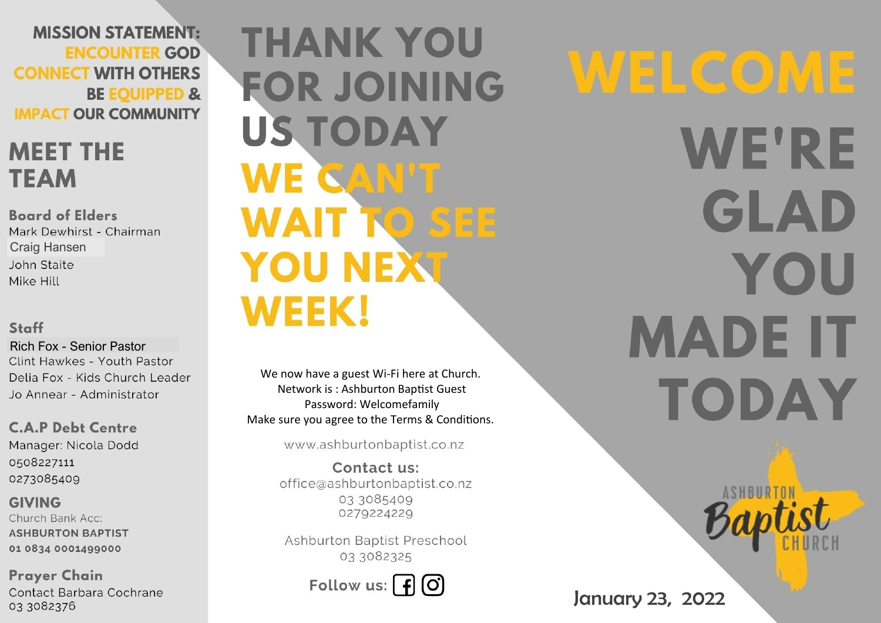**MISSION STATEMENT: ENCOUNTER GOD CONNECT WITH OTHERS BE EQUIPPED & IMPACT OUR COMMUNITY** 

## **MEET THE TEAM**

**Board of Elders** Mark Dewhirst - Chairman **Craig Hansen** John Staite Mike Hill

#### Staff

**Rich Fox - Senior Pastor** Clint Hawkes - Youth Pastor Delia Fox - Kids Church Leader Jo Annear - Administrator

**C.A.P Debt Centre** Manager: Nicola Dodd 0508227111 0273085409

**GIVING** Church Bank Acc: **ASHBURTON BAPTIST** 01 0834 0001499000

**Prayer Chain** Contact Barbara Cochrane 03 3082376

# **THANK YOU FOR JOINING US TODAY** WE CAN'T **WAIT TO SEE YOU NEXT WEEK!**

We now have a guest Wi-Fi here at Church. Network is: Ashburton Baptist Guest Password: Welcomefamily Make sure you agree to the Terms & Conditions.

www.ashburtonbaptist.co.nz

Contact us: office@ashburtonbaptist.co.nz 03 3085409 0279224229

Ashburton Baptist Preschool 03 3082325

Follow us:  $\int f(x)$ 

WELCOME **WE'RE** GLAD YOU **MADE IT TODAY**